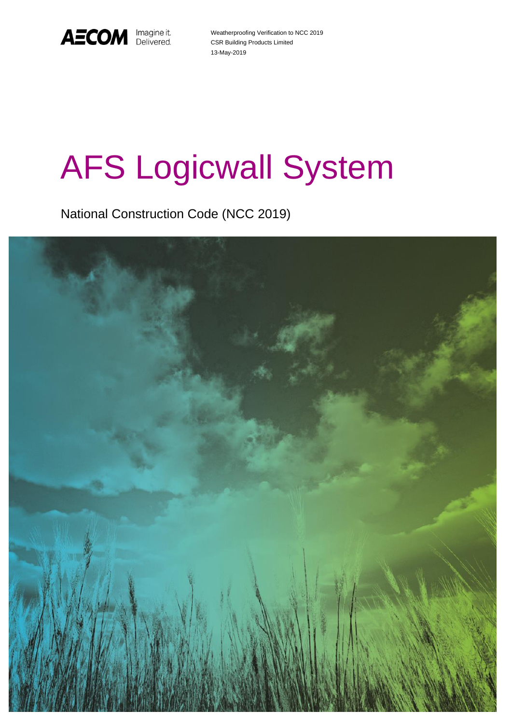

Weatherproofing Verification to NCC 2019 CSR Building Products Limited 13-May-2019

# AFS Logicwall System

National Construction Code (NCC 2019)

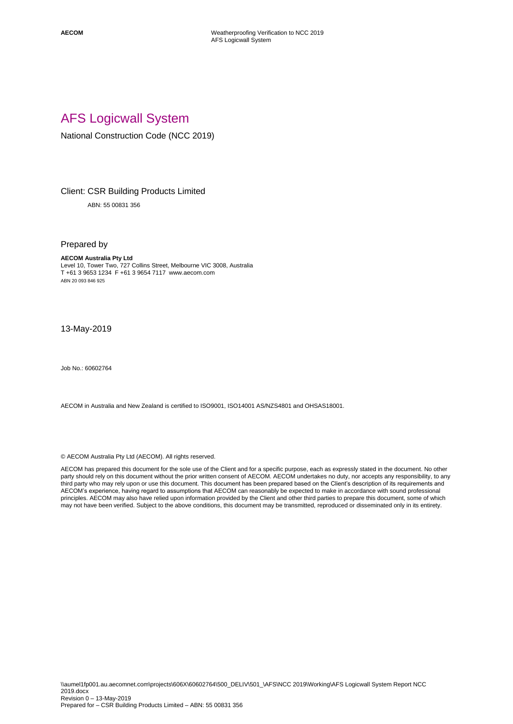# AFS Logicwall System

National Construction Code (NCC 2019)

#### Client: CSR Building Products Limited

ABN: 55 00831 356

Prepared by

**AECOM Australia Pty Ltd** Level 10, Tower Two, 727 Collins Street, Melbourne VIC 3008, Australia T +61 3 9653 1234 F +61 3 9654 7117 www.aecom.com ABN 20 093 846 925

13-May-2019

Job No.: 60602764

AECOM in Australia and New Zealand is certified to ISO9001, ISO14001 AS/NZS4801 and OHSAS18001.

© AECOM Australia Pty Ltd (AECOM). All rights reserved.

AECOM has prepared this document for the sole use of the Client and for a specific purpose, each as expressly stated in the document. No other party should rely on this document without the prior written consent of AECOM. AECOM undertakes no duty, nor accepts any responsibility, to any third party who may rely upon or use this document. This document has been prepared based on the Client's description of its requirements and AECOM's experience, having regard to assumptions that AECOM can reasonably be expected to make in accordance with sound professional principles. AECOM may also have relied upon information provided by the Client and other third parties to prepare this document, some of which may not have been verified. Subject to the above conditions, this document may be transmitted, reproduced or disseminated only in its entirety.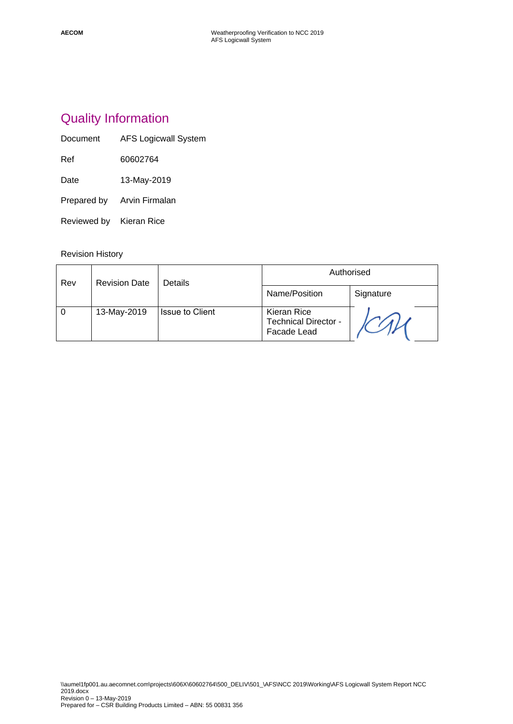# Quality Information

| Document | <b>AFS Logicwall System</b> |
|----------|-----------------------------|
|----------|-----------------------------|

Ref 60602764

Date 13-May-2019

Prepared by Arvin Firmalan

Reviewed by Kieran Rice

#### Revision History

| Rev | <b>Revision Date</b> | <b>Details</b>         | Authorised                                                |           |
|-----|----------------------|------------------------|-----------------------------------------------------------|-----------|
|     |                      |                        | Name/Position                                             | Signature |
|     | 13-May-2019          | <b>Issue to Client</b> | Kieran Rice<br><b>Technical Director -</b><br>Facade Lead |           |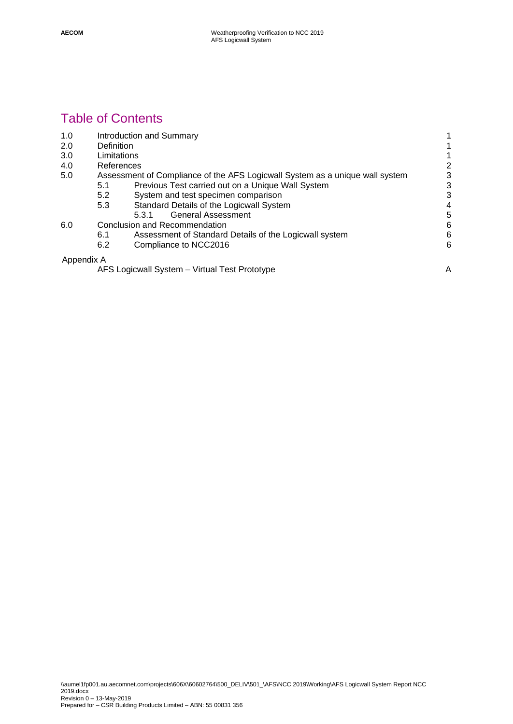# Table of Contents

| 1.0        | Introduction and Summary |                                                                              |                |
|------------|--------------------------|------------------------------------------------------------------------------|----------------|
| 2.0        | Definition               |                                                                              |                |
| 3.0        | Limitations              |                                                                              |                |
| 4.0        | References               |                                                                              | $\overline{c}$ |
| 5.0        |                          | Assessment of Compliance of the AFS Logicwall System as a unique wall system | 3              |
|            | 5.1                      | Previous Test carried out on a Unique Wall System                            | 3              |
|            | 5.2                      | System and test specimen comparison                                          | 3              |
|            | 5.3                      | Standard Details of the Logicwall System                                     | 4              |
|            |                          | <b>General Assessment</b><br>5.3.1                                           | 5              |
| 6.0        |                          | Conclusion and Recommendation                                                |                |
|            | 6.1                      | Assessment of Standard Details of the Logicwall system                       | 6              |
|            | 6.2                      | Compliance to NCC2016                                                        | 6              |
| Appendix A |                          |                                                                              |                |
|            |                          | AFS Logicwall System - Virtual Test Prototype                                | А              |
|            |                          |                                                                              |                |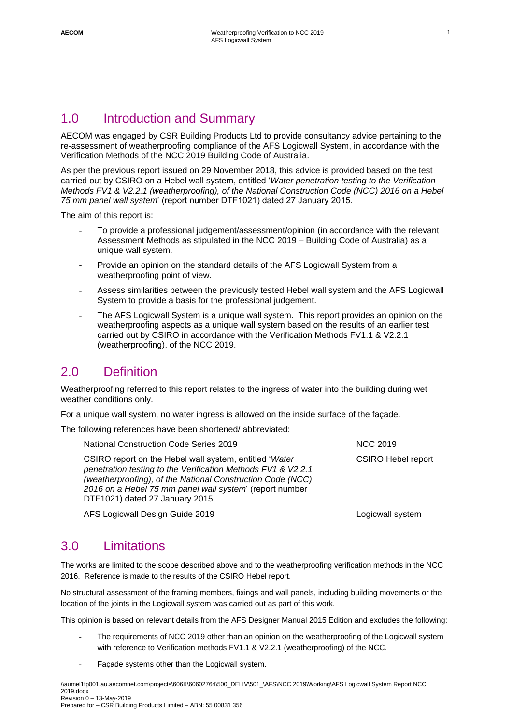#### 1.0 Introduction and Summary

AECOM was engaged by CSR Building Products Ltd to provide consultancy advice pertaining to the re-assessment of weatherproofing compliance of the AFS Logicwall System, in accordance with the Verification Methods of the NCC 2019 Building Code of Australia.

As per the previous report issued on 29 November 2018, this advice is provided based on the test carried out by CSIRO on a Hebel wall system, entitled '*Water penetration testing to the Verification Methods FV1 & V2.2.1 (weatherproofing), of the National Construction Code (NCC) 2016 on a Hebel 75 mm panel wall system*' (report number DTF1021) dated 27 January 2015.

The aim of this report is:

- To provide a professional judgement/assessment/opinion (in accordance with the relevant Assessment Methods as stipulated in the NCC 2019 – Building Code of Australia) as a unique wall system.
- Provide an opinion on the standard details of the AFS Logicwall System from a weatherproofing point of view.
- Assess similarities between the previously tested Hebel wall system and the AFS Logicwall System to provide a basis for the professional judgement.
- The AFS Logicwall System is a unique wall system. This report provides an opinion on the weatherproofing aspects as a unique wall system based on the results of an earlier test carried out by CSIRO in accordance with the Verification Methods FV1.1 & V2.2.1 (weatherproofing), of the NCC 2019.

#### 2.0 Definition

Weatherproofing referred to this report relates to the ingress of water into the building during wet weather conditions only.

For a unique wall system, no water ingress is allowed on the inside surface of the façade.

The following references have been shortened/ abbreviated:

| <b>National Construction Code Series 2019</b>                                                                                                                                                                                                                                      | <b>NCC 2019</b>    |
|------------------------------------------------------------------------------------------------------------------------------------------------------------------------------------------------------------------------------------------------------------------------------------|--------------------|
| CSIRO report on the Hebel wall system, entitled 'Water<br>penetration testing to the Verification Methods FV1 & V2.2.1<br>(weatherproofing), of the National Construction Code (NCC)<br>2016 on a Hebel 75 mm panel wall system' (report number<br>DTF1021) dated 27 January 2015. | CSIRO Hebel report |
| AFS Logicwall Design Guide 2019                                                                                                                                                                                                                                                    | Logicwall system   |

3.0 Limitations

The works are limited to the scope described above and to the weatherproofing verification methods in the NCC 2016. Reference is made to the results of the CSIRO Hebel report.

No structural assessment of the framing members, fixings and wall panels, including building movements or the location of the joints in the Logicwall system was carried out as part of this work.

This opinion is based on relevant details from the AFS Designer Manual 2015 Edition and excludes the following:

- The requirements of NCC 2019 other than an opinion on the weatherproofing of the Logicwall system with reference to Verification methods FV1.1 & V2.2.1 (weatherproofing) of the NCC.
- Facade systems other than the Logicwall system.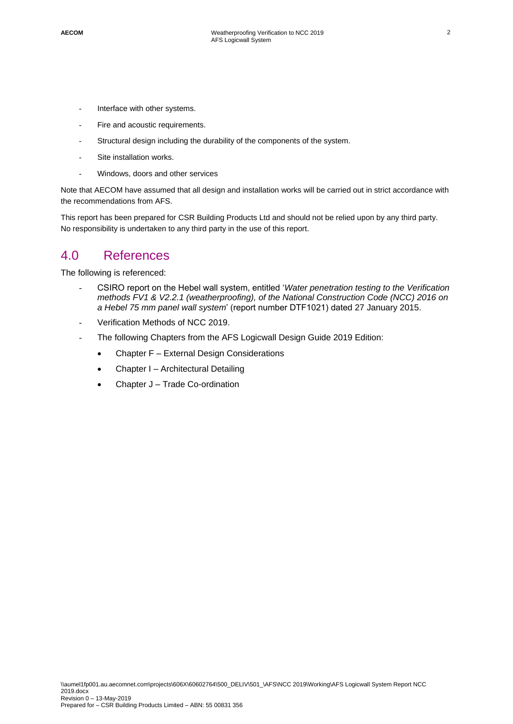- Interface with other systems.
- Fire and acoustic requirements.
- Structural design including the durability of the components of the system.
- Site installation works.
- Windows, doors and other services

Note that AECOM have assumed that all design and installation works will be carried out in strict accordance with the recommendations from AFS.

This report has been prepared for CSR Building Products Ltd and should not be relied upon by any third party. No responsibility is undertaken to any third party in the use of this report.

## 4.0 References

The following is referenced:

- CSIRO report on the Hebel wall system, entitled '*Water penetration testing to the Verification methods FV1 & V2.2.1 (weatherproofing), of the National Construction Code (NCC) 2016 on a Hebel 75 mm panel wall system*' (report number DTF1021) dated 27 January 2015.
- Verification Methods of NCC 2019.
- The following Chapters from the AFS Logicwall Design Guide 2019 Edition:
	- Chapter F External Design Considerations
	- Chapter I Architectural Detailing
	- Chapter J Trade Co-ordination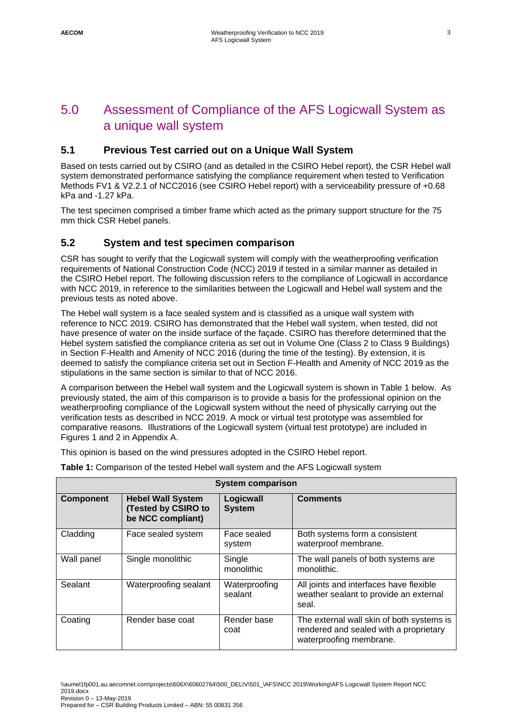#### **5.1 Previous Test carried out on a Unique Wall System**

Based on tests carried out by CSIRO (and as detailed in the CSIRO Hebel report), the CSR Hebel wall system demonstrated performance satisfying the compliance requirement when tested to Verification Methods FV1 & V2.2.1 of NCC2016 (see CSIRO Hebel report) with a serviceability pressure of +0.68 kPa and -1.27 kPa.

The test specimen comprised a timber frame which acted as the primary support structure for the 75 mm thick CSR Hebel panels.

#### **5.2 System and test specimen comparison**

CSR has sought to verify that the Logicwall system will comply with the weatherproofing verification requirements of National Construction Code (NCC) 2019 if tested in a similar manner as detailed in the CSIRO Hebel report. The following discussion refers to the compliance of Logicwall in accordance with NCC 2019, in reference to the similarities between the Logicwall and Hebel wall system and the previous tests as noted above.

The Hebel wall system is a face sealed system and is classified as a unique wall system with reference to NCC 2019. CSIRO has demonstrated that the Hebel wall system, when tested, did not have presence of water on the inside surface of the façade. CSIRO has therefore determined that the Hebel system satisfied the compliance criteria as set out in Volume One (Class 2 to Class 9 Buildings) in Section F-Health and Amenity of NCC 2016 (during the time of the testing). By extension, it is deemed to satisfy the compliance criteria set out in Section F-Health and Amenity of NCC 2019 as the stipulations in the same section is similar to that of NCC 2016.

A comparison between the Hebel wall system and the Logicwall system is shown in Table 1 below. As previously stated, the aim of this comparison is to provide a basis for the professional opinion on the weatherproofing compliance of the Logicwall system without the need of physically carrying out the verification tests as described in NCC 2019. A mock or virtual test prototype was assembled for comparative reasons. Illustrations of the Logicwall system (virtual test prototype) are included in Figures 1 and 2 in Appendix A.

This opinion is based on the wind pressures adopted in the CSIRO Hebel report.

**System comparison Component Hebel Wall System (Tested by CSIRO to be NCC compliant) Logicwall System Comments** Cladding Face sealed system Face sealed system Both systems form a consistent waterproof membrane. Wall panel Single monolithic Single monolithic The wall panels of both systems are monolithic. Sealant Waterproofing sealant Waterproofing sealant All joints and interfaces have flexible weather sealant to provide an external seal. Coating Render base coat Render base coat The external wall skin of both systems is rendered and sealed with a proprietary waterproofing membrane.

**Table 1:** Comparison of the tested Hebel wall system and the AFS Logicwall system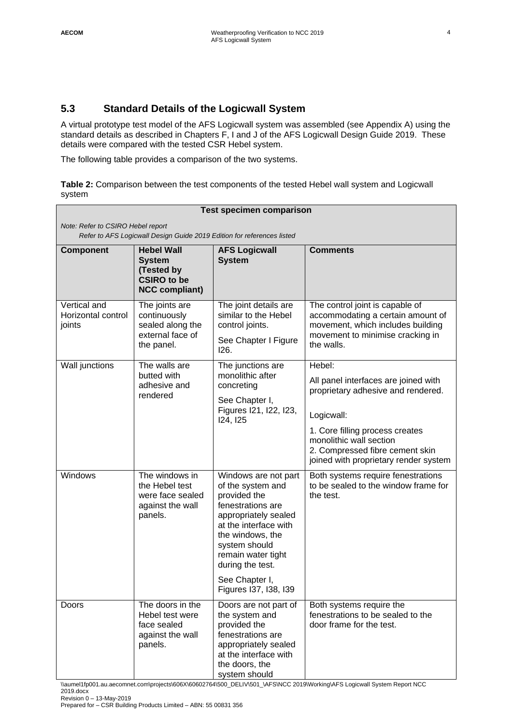#### **5.3 Standard Details of the Logicwall System**

A virtual prototype test model of the AFS Logicwall system was assembled (see Appendix A) using the standard details as described in Chapters F, I and J of the AFS Logicwall Design Guide 2019. These details were compared with the tested CSR Hebel system.

The following table provides a comparison of the two systems.

**Table 2:** Comparison between the test components of the tested Hebel wall system and Logicwall system

| <b>Test specimen comparison</b><br>Note: Refer to CSIRO Hebel report<br>Refer to AFS Logicwall Design Guide 2019 Edition for references listed |                                                                                                 |                                                                                                                                                                                                                                                           |                                                                                                                                                                                                                                              |
|------------------------------------------------------------------------------------------------------------------------------------------------|-------------------------------------------------------------------------------------------------|-----------------------------------------------------------------------------------------------------------------------------------------------------------------------------------------------------------------------------------------------------------|----------------------------------------------------------------------------------------------------------------------------------------------------------------------------------------------------------------------------------------------|
| <b>Component</b>                                                                                                                               | <b>Hebel Wall</b><br><b>System</b><br>(Tested by<br><b>CSIRO to be</b><br><b>NCC compliant)</b> | <b>AFS Logicwall</b><br><b>System</b>                                                                                                                                                                                                                     | <b>Comments</b>                                                                                                                                                                                                                              |
| Vertical and<br>Horizontal control<br>joints                                                                                                   | The joints are<br>continuously<br>sealed along the<br>external face of<br>the panel.            | The joint details are<br>similar to the Hebel<br>control joints.<br>See Chapter I Figure<br>I26.                                                                                                                                                          | The control joint is capable of<br>accommodating a certain amount of<br>movement, which includes building<br>movement to minimise cracking in<br>the walls.                                                                                  |
| Wall junctions                                                                                                                                 | The walls are<br>butted with<br>adhesive and<br>rendered                                        | The junctions are<br>monolithic after<br>concreting<br>See Chapter I,<br>Figures I21, I22, I23,<br>124, 125                                                                                                                                               | Hebel:<br>All panel interfaces are joined with<br>proprietary adhesive and rendered.<br>Logicwall:<br>1. Core filling process creates<br>monolithic wall section<br>2. Compressed fibre cement skin<br>joined with proprietary render system |
| Windows                                                                                                                                        | The windows in<br>the Hebel test<br>were face sealed<br>against the wall<br>panels.             | Windows are not part<br>of the system and<br>provided the<br>fenestrations are<br>appropriately sealed<br>at the interface with<br>the windows, the<br>system should<br>remain water tight<br>during the test.<br>See Chapter I,<br>Figures 137, 138, 139 | Both systems require fenestrations<br>to be sealed to the window frame for<br>the test.                                                                                                                                                      |
| Doors                                                                                                                                          | The doors in the<br>Hebel test were<br>face sealed<br>against the wall<br>panels.               | Doors are not part of<br>the system and<br>provided the<br>fenestrations are<br>appropriately sealed<br>at the interface with<br>the doors, the<br>system should                                                                                          | Both systems require the<br>fenestrations to be sealed to the<br>door frame for the test.                                                                                                                                                    |

\\aumel1fp001.au.aecomnet.com\projects\606X\60602764\500\_DELIV\501\_\AFS\NCC 2019\Working\AFS Logicwall System Report NCC 2019.docx Revision 0 – 13-May-2019

Prepared for – CSR Building Products Limited – ABN: 55 00831 356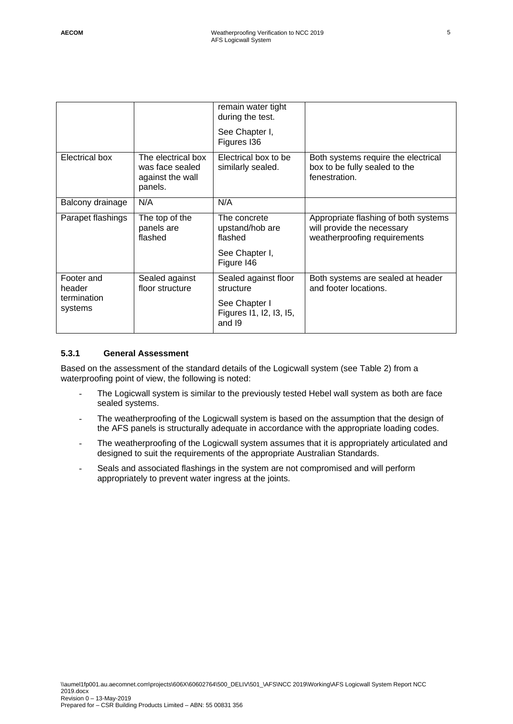|                                                |                                                                      | remain water tight<br>during the test.<br>See Chapter I,<br>Figures I36 |                                                                                                    |
|------------------------------------------------|----------------------------------------------------------------------|-------------------------------------------------------------------------|----------------------------------------------------------------------------------------------------|
| Electrical box                                 | The electrical box<br>was face sealed<br>against the wall<br>panels. | Electrical box to be<br>similarly sealed.                               | Both systems require the electrical<br>box to be fully sealed to the<br>fenestration.              |
| Balcony drainage                               | N/A                                                                  | N/A                                                                     |                                                                                                    |
| Parapet flashings                              | The top of the<br>panels are<br>flashed                              | The concrete<br>upstand/hob are<br>flashed                              | Appropriate flashing of both systems<br>will provide the necessary<br>weatherproofing requirements |
|                                                |                                                                      | See Chapter I,<br>Figure 146                                            |                                                                                                    |
| Footer and<br>header<br>termination<br>systems | Sealed against<br>floor structure                                    | Sealed against floor<br>structure                                       | Both systems are sealed at header<br>and footer locations.                                         |
|                                                |                                                                      | See Chapter I<br>Figures 11, 12, 13, 15,<br>and 19                      |                                                                                                    |

#### **5.3.1 General Assessment**

Based on the assessment of the standard details of the Logicwall system (see Table 2) from a waterproofing point of view, the following is noted:

- The Logicwall system is similar to the previously tested Hebel wall system as both are face sealed systems.
- The weatherproofing of the Logicwall system is based on the assumption that the design of the AFS panels is structurally adequate in accordance with the appropriate loading codes.
- The weatherproofing of the Logicwall system assumes that it is appropriately articulated and designed to suit the requirements of the appropriate Australian Standards.
- Seals and associated flashings in the system are not compromised and will perform appropriately to prevent water ingress at the joints.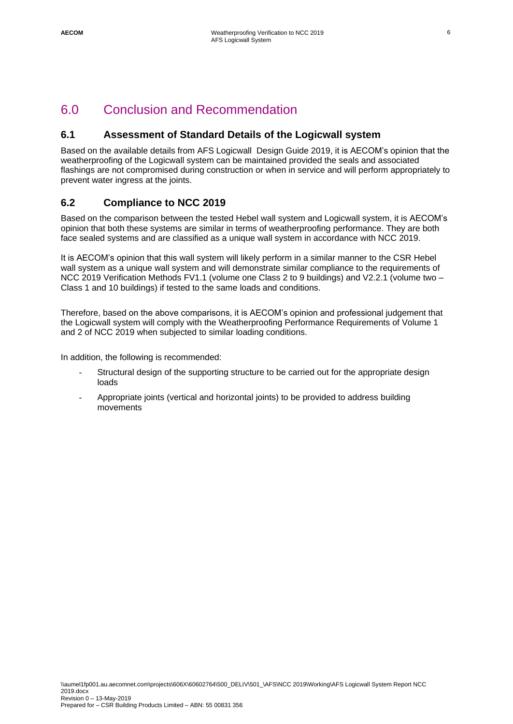## 6.0 Conclusion and Recommendation

#### **6.1 Assessment of Standard Details of the Logicwall system**

Based on the available details from AFS Logicwall Design Guide 2019, it is AECOM's opinion that the weatherproofing of the Logicwall system can be maintained provided the seals and associated flashings are not compromised during construction or when in service and will perform appropriately to prevent water ingress at the joints.

#### **6.2 Compliance to NCC 2019**

Based on the comparison between the tested Hebel wall system and Logicwall system, it is AECOM's opinion that both these systems are similar in terms of weatherproofing performance. They are both face sealed systems and are classified as a unique wall system in accordance with NCC 2019.

It is AECOM's opinion that this wall system will likely perform in a similar manner to the CSR Hebel wall system as a unique wall system and will demonstrate similar compliance to the requirements of NCC 2019 Verification Methods FV1.1 (volume one Class 2 to 9 buildings) and V2.2.1 (volume two – Class 1 and 10 buildings) if tested to the same loads and conditions.

Therefore, based on the above comparisons, it is AECOM's opinion and professional judgement that the Logicwall system will comply with the Weatherproofing Performance Requirements of Volume 1 and 2 of NCC 2019 when subjected to similar loading conditions.

In addition, the following is recommended:

- Structural design of the supporting structure to be carried out for the appropriate design loads
- Appropriate joints (vertical and horizontal joints) to be provided to address building movements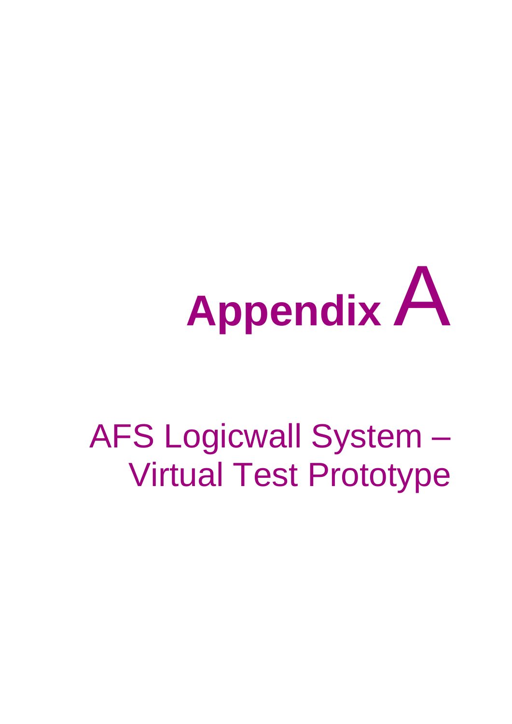# **Appendix** A

# AFS Logicwall System – Virtual Test Prototype